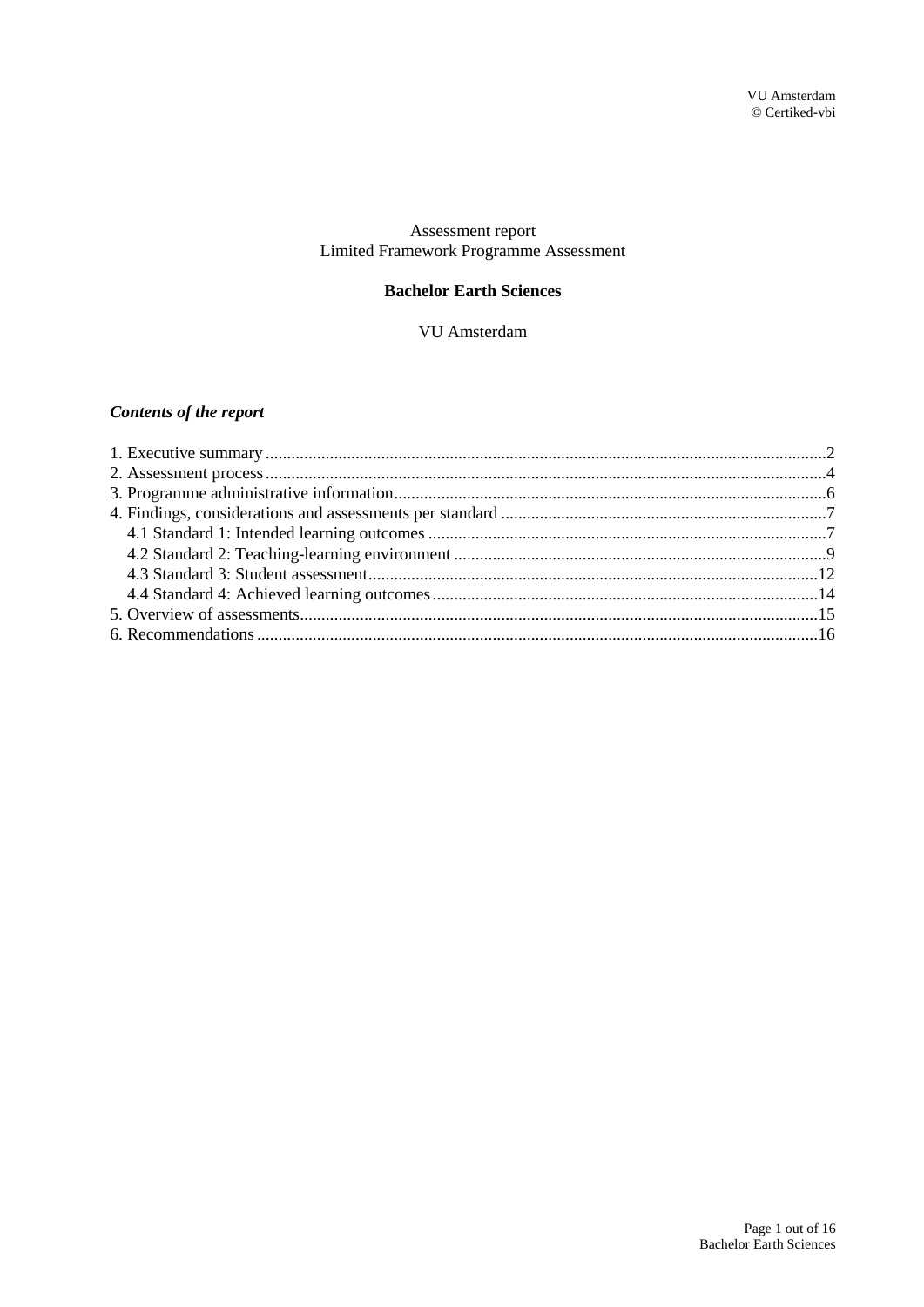## Assessment report Limited Framework Programme Assessment

## **Bachelor Earth Sciences**

VU Amsterdam

## **Contents of the report**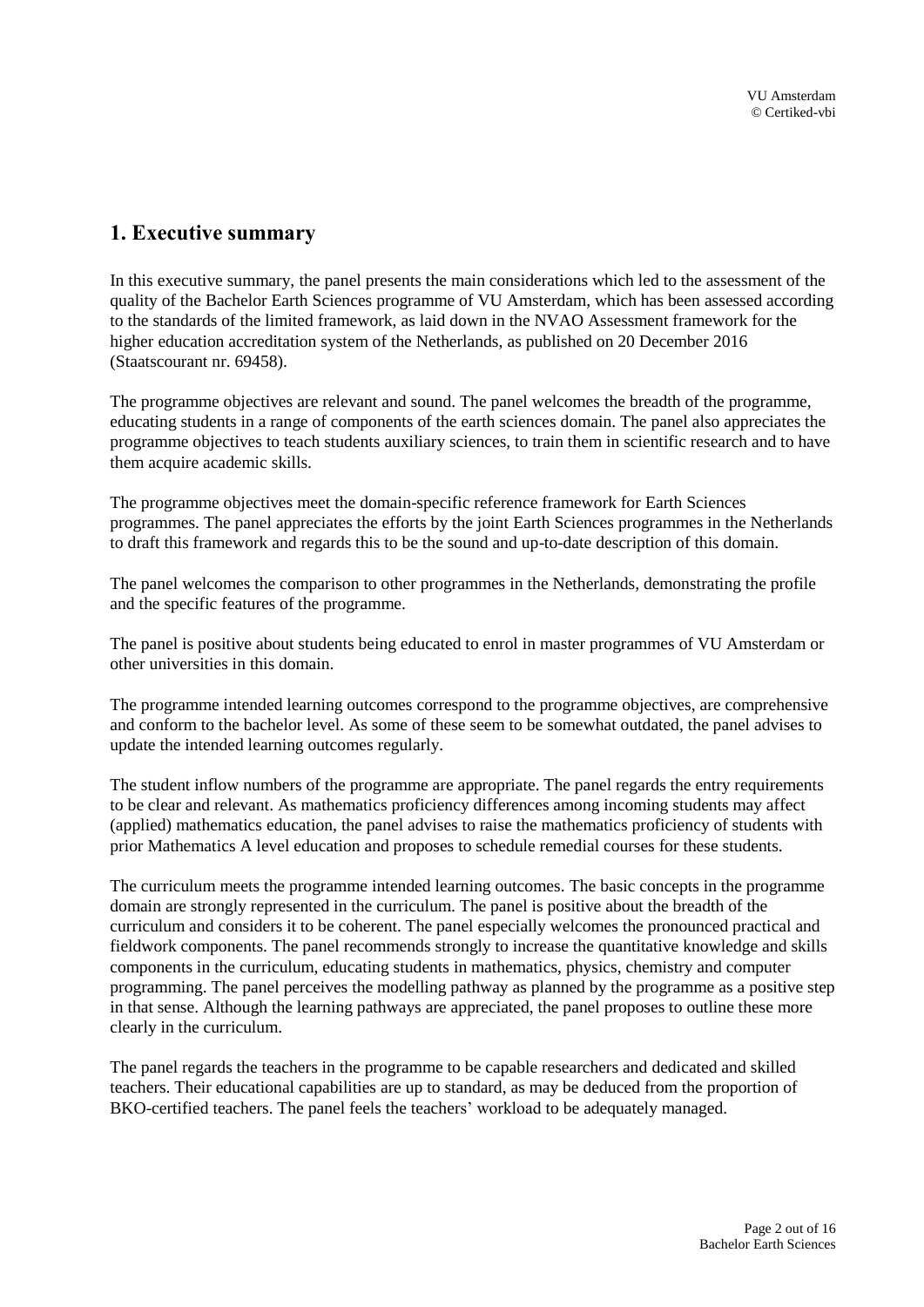# <span id="page-1-0"></span>**1. Executive summary**

In this executive summary, the panel presents the main considerations which led to the assessment of the quality of the Bachelor Earth Sciences programme of VU Amsterdam, which has been assessed according to the standards of the limited framework, as laid down in the NVAO Assessment framework for the higher education accreditation system of the Netherlands, as published on 20 December 2016 (Staatscourant nr. 69458).

The programme objectives are relevant and sound. The panel welcomes the breadth of the programme, educating students in a range of components of the earth sciences domain. The panel also appreciates the programme objectives to teach students auxiliary sciences, to train them in scientific research and to have them acquire academic skills.

The programme objectives meet the domain-specific reference framework for Earth Sciences programmes. The panel appreciates the efforts by the joint Earth Sciences programmes in the Netherlands to draft this framework and regards this to be the sound and up-to-date description of this domain.

The panel welcomes the comparison to other programmes in the Netherlands, demonstrating the profile and the specific features of the programme.

The panel is positive about students being educated to enrol in master programmes of VU Amsterdam or other universities in this domain.

The programme intended learning outcomes correspond to the programme objectives, are comprehensive and conform to the bachelor level. As some of these seem to be somewhat outdated, the panel advises to update the intended learning outcomes regularly.

The student inflow numbers of the programme are appropriate. The panel regards the entry requirements to be clear and relevant. As mathematics proficiency differences among incoming students may affect (applied) mathematics education, the panel advises to raise the mathematics proficiency of students with prior Mathematics A level education and proposes to schedule remedial courses for these students.

The curriculum meets the programme intended learning outcomes. The basic concepts in the programme domain are strongly represented in the curriculum. The panel is positive about the breadth of the curriculum and considers it to be coherent. The panel especially welcomes the pronounced practical and fieldwork components. The panel recommends strongly to increase the quantitative knowledge and skills components in the curriculum, educating students in mathematics, physics, chemistry and computer programming. The panel perceives the modelling pathway as planned by the programme as a positive step in that sense. Although the learning pathways are appreciated, the panel proposes to outline these more clearly in the curriculum.

The panel regards the teachers in the programme to be capable researchers and dedicated and skilled teachers. Their educational capabilities are up to standard, as may be deduced from the proportion of BKO-certified teachers. The panel feels the teachers' workload to be adequately managed.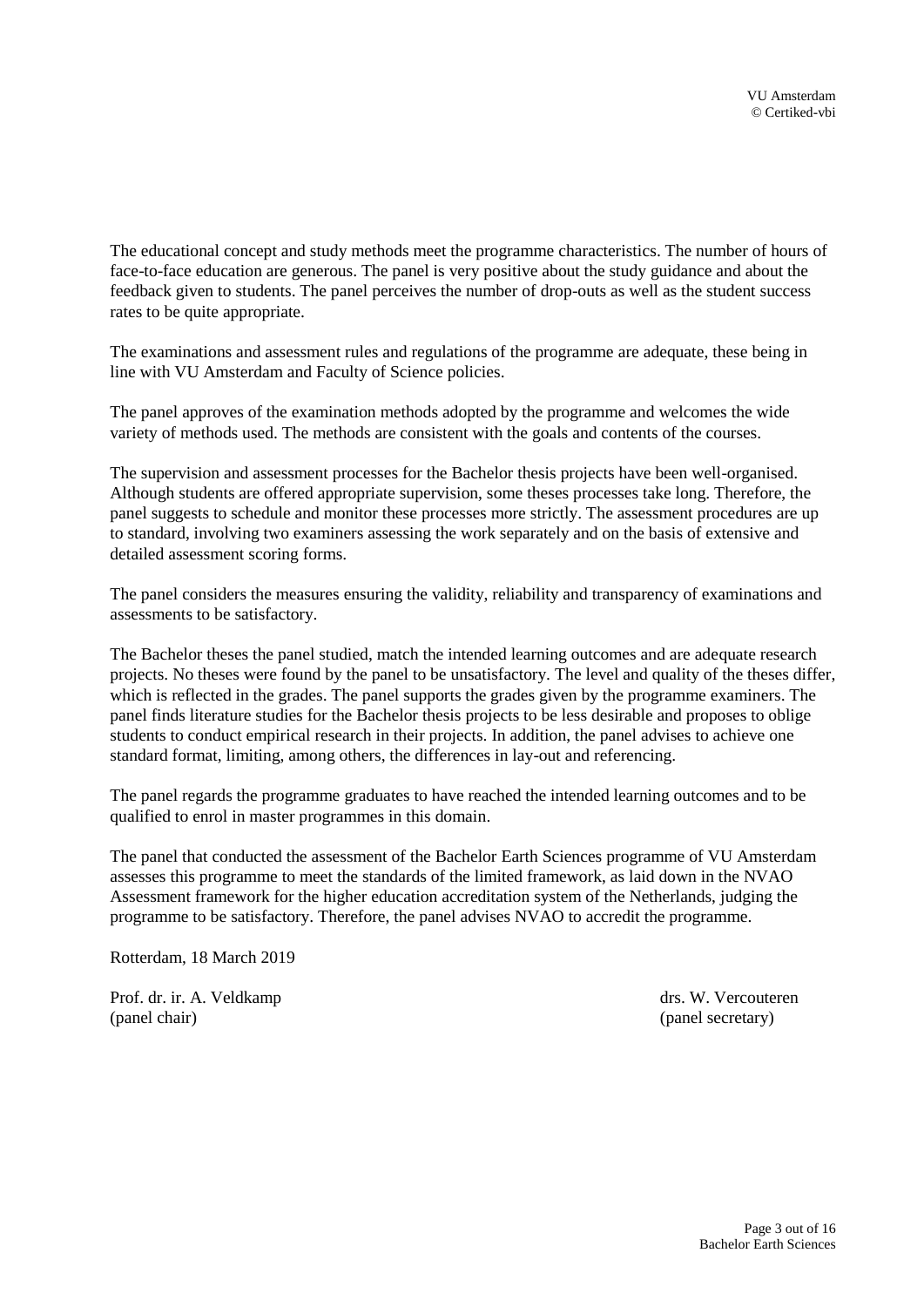The educational concept and study methods meet the programme characteristics. The number of hours of face-to-face education are generous. The panel is very positive about the study guidance and about the feedback given to students. The panel perceives the number of drop-outs as well as the student success rates to be quite appropriate.

The examinations and assessment rules and regulations of the programme are adequate, these being in line with VU Amsterdam and Faculty of Science policies.

The panel approves of the examination methods adopted by the programme and welcomes the wide variety of methods used. The methods are consistent with the goals and contents of the courses.

The supervision and assessment processes for the Bachelor thesis projects have been well-organised. Although students are offered appropriate supervision, some theses processes take long. Therefore, the panel suggests to schedule and monitor these processes more strictly. The assessment procedures are up to standard, involving two examiners assessing the work separately and on the basis of extensive and detailed assessment scoring forms.

The panel considers the measures ensuring the validity, reliability and transparency of examinations and assessments to be satisfactory.

The Bachelor theses the panel studied, match the intended learning outcomes and are adequate research projects. No theses were found by the panel to be unsatisfactory. The level and quality of the theses differ, which is reflected in the grades. The panel supports the grades given by the programme examiners. The panel finds literature studies for the Bachelor thesis projects to be less desirable and proposes to oblige students to conduct empirical research in their projects. In addition, the panel advises to achieve one standard format, limiting, among others, the differences in lay-out and referencing.

The panel regards the programme graduates to have reached the intended learning outcomes and to be qualified to enrol in master programmes in this domain.

The panel that conducted the assessment of the Bachelor Earth Sciences programme of VU Amsterdam assesses this programme to meet the standards of the limited framework, as laid down in the NVAO Assessment framework for the higher education accreditation system of the Netherlands, judging the programme to be satisfactory. Therefore, the panel advises NVAO to accredit the programme.

Rotterdam, 18 March 2019

Prof. dr. ir. A. Veldkamp drs. W. Vercouteren (panel chair) (panel secretary)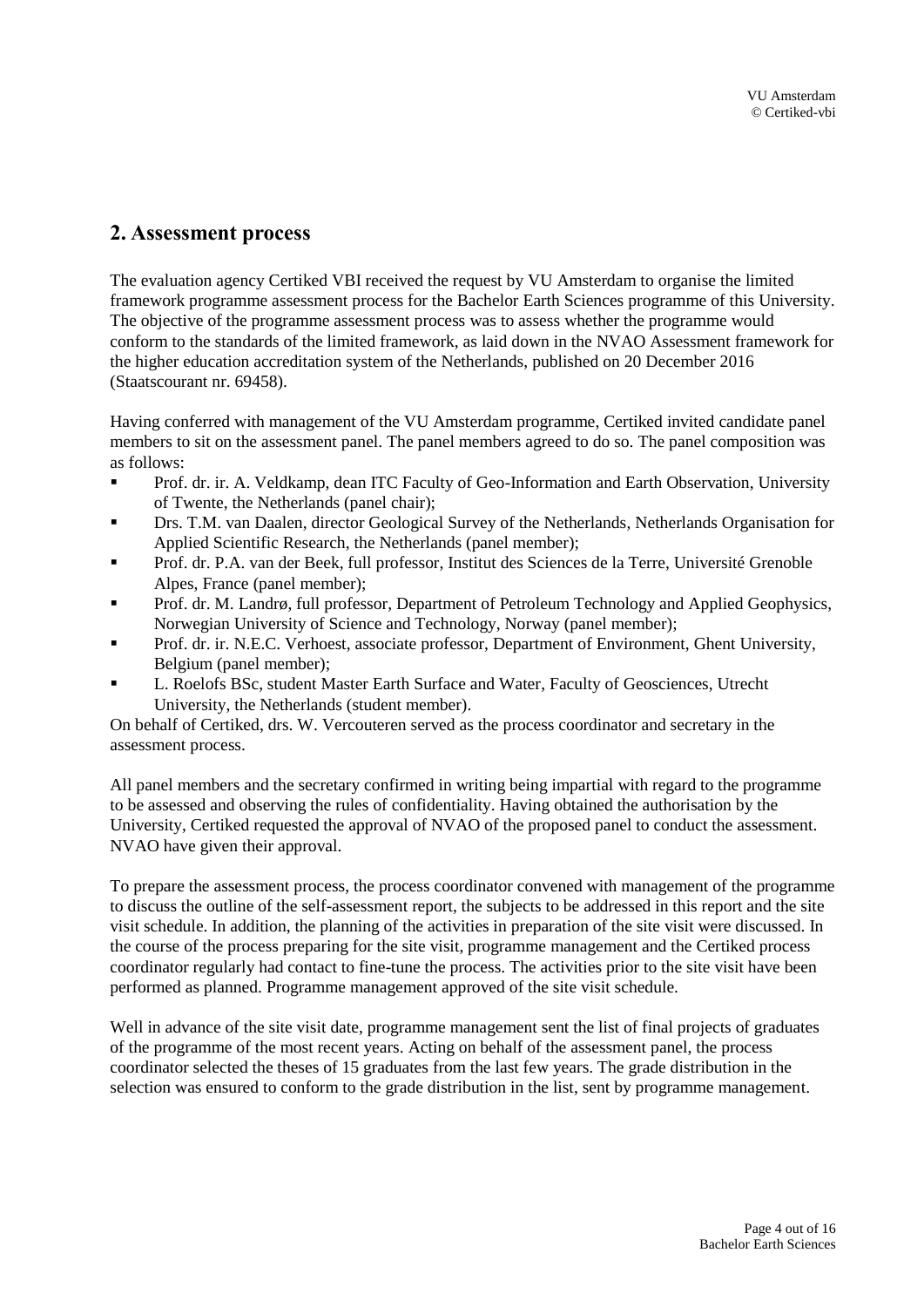# <span id="page-3-0"></span>**2. Assessment process**

The evaluation agency Certiked VBI received the request by VU Amsterdam to organise the limited framework programme assessment process for the Bachelor Earth Sciences programme of this University. The objective of the programme assessment process was to assess whether the programme would conform to the standards of the limited framework, as laid down in the NVAO Assessment framework for the higher education accreditation system of the Netherlands, published on 20 December 2016 (Staatscourant nr. 69458).

Having conferred with management of the VU Amsterdam programme, Certiked invited candidate panel members to sit on the assessment panel. The panel members agreed to do so. The panel composition was as follows:

- **•** Prof. dr. ir. A. Veldkamp, dean ITC Faculty of Geo-Information and Earth Observation, University of Twente, the Netherlands (panel chair);
- **Drs. T.M. van Daalen, director Geological Survey of the Netherlands, Netherlands Organisation for** Applied Scientific Research, the Netherlands (panel member);
- Prof. dr. P.A. van der Beek, full professor, Institut des Sciences de la Terre, Université Grenoble Alpes, France (panel member);
- Prof. dr. M. Landrø, full professor, Department of Petroleum Technology and Applied Geophysics, Norwegian University of Science and Technology, Norway (panel member);
- **Prof. dr. ir. N.E.C. Verhoest, associate professor, Department of Environment, Ghent University,** Belgium (panel member);
- L. Roelofs BSc, student Master Earth Surface and Water, Faculty of Geosciences, Utrecht University, the Netherlands (student member).

On behalf of Certiked, drs. W. Vercouteren served as the process coordinator and secretary in the assessment process.

All panel members and the secretary confirmed in writing being impartial with regard to the programme to be assessed and observing the rules of confidentiality. Having obtained the authorisation by the University, Certiked requested the approval of NVAO of the proposed panel to conduct the assessment. NVAO have given their approval.

To prepare the assessment process, the process coordinator convened with management of the programme to discuss the outline of the self-assessment report, the subjects to be addressed in this report and the site visit schedule. In addition, the planning of the activities in preparation of the site visit were discussed. In the course of the process preparing for the site visit, programme management and the Certiked process coordinator regularly had contact to fine-tune the process. The activities prior to the site visit have been performed as planned. Programme management approved of the site visit schedule.

Well in advance of the site visit date, programme management sent the list of final projects of graduates of the programme of the most recent years. Acting on behalf of the assessment panel, the process coordinator selected the theses of 15 graduates from the last few years. The grade distribution in the selection was ensured to conform to the grade distribution in the list, sent by programme management.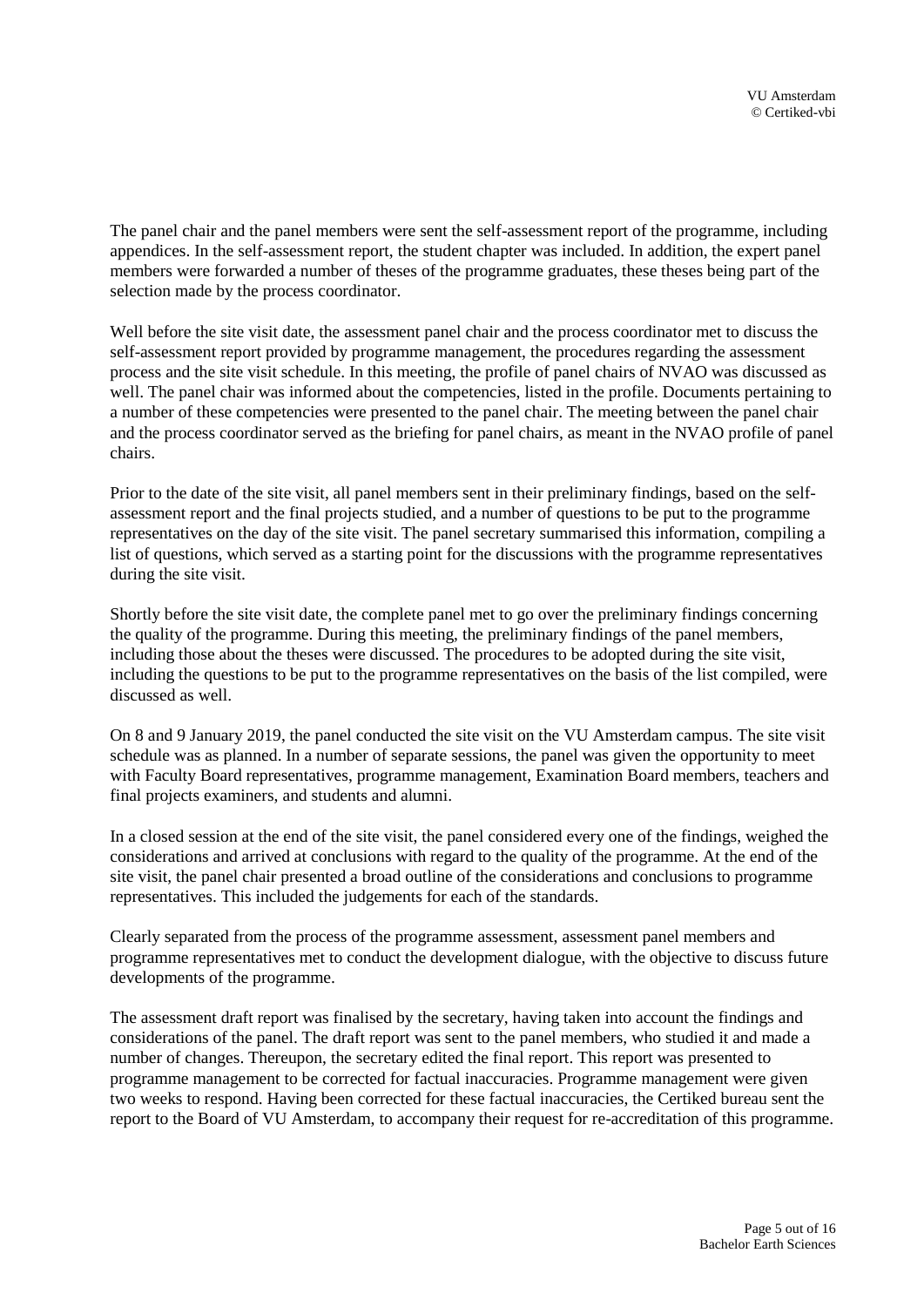The panel chair and the panel members were sent the self-assessment report of the programme, including appendices. In the self-assessment report, the student chapter was included. In addition, the expert panel members were forwarded a number of theses of the programme graduates, these theses being part of the selection made by the process coordinator.

Well before the site visit date, the assessment panel chair and the process coordinator met to discuss the self-assessment report provided by programme management, the procedures regarding the assessment process and the site visit schedule. In this meeting, the profile of panel chairs of NVAO was discussed as well. The panel chair was informed about the competencies, listed in the profile. Documents pertaining to a number of these competencies were presented to the panel chair. The meeting between the panel chair and the process coordinator served as the briefing for panel chairs, as meant in the NVAO profile of panel chairs.

Prior to the date of the site visit, all panel members sent in their preliminary findings, based on the selfassessment report and the final projects studied, and a number of questions to be put to the programme representatives on the day of the site visit. The panel secretary summarised this information, compiling a list of questions, which served as a starting point for the discussions with the programme representatives during the site visit.

Shortly before the site visit date, the complete panel met to go over the preliminary findings concerning the quality of the programme. During this meeting, the preliminary findings of the panel members, including those about the theses were discussed. The procedures to be adopted during the site visit, including the questions to be put to the programme representatives on the basis of the list compiled, were discussed as well.

On 8 and 9 January 2019, the panel conducted the site visit on the VU Amsterdam campus. The site visit schedule was as planned. In a number of separate sessions, the panel was given the opportunity to meet with Faculty Board representatives, programme management, Examination Board members, teachers and final projects examiners, and students and alumni.

In a closed session at the end of the site visit, the panel considered every one of the findings, weighed the considerations and arrived at conclusions with regard to the quality of the programme. At the end of the site visit, the panel chair presented a broad outline of the considerations and conclusions to programme representatives. This included the judgements for each of the standards.

Clearly separated from the process of the programme assessment, assessment panel members and programme representatives met to conduct the development dialogue, with the objective to discuss future developments of the programme.

The assessment draft report was finalised by the secretary, having taken into account the findings and considerations of the panel. The draft report was sent to the panel members, who studied it and made a number of changes. Thereupon, the secretary edited the final report. This report was presented to programme management to be corrected for factual inaccuracies. Programme management were given two weeks to respond. Having been corrected for these factual inaccuracies, the Certiked bureau sent the report to the Board of VU Amsterdam, to accompany their request for re-accreditation of this programme.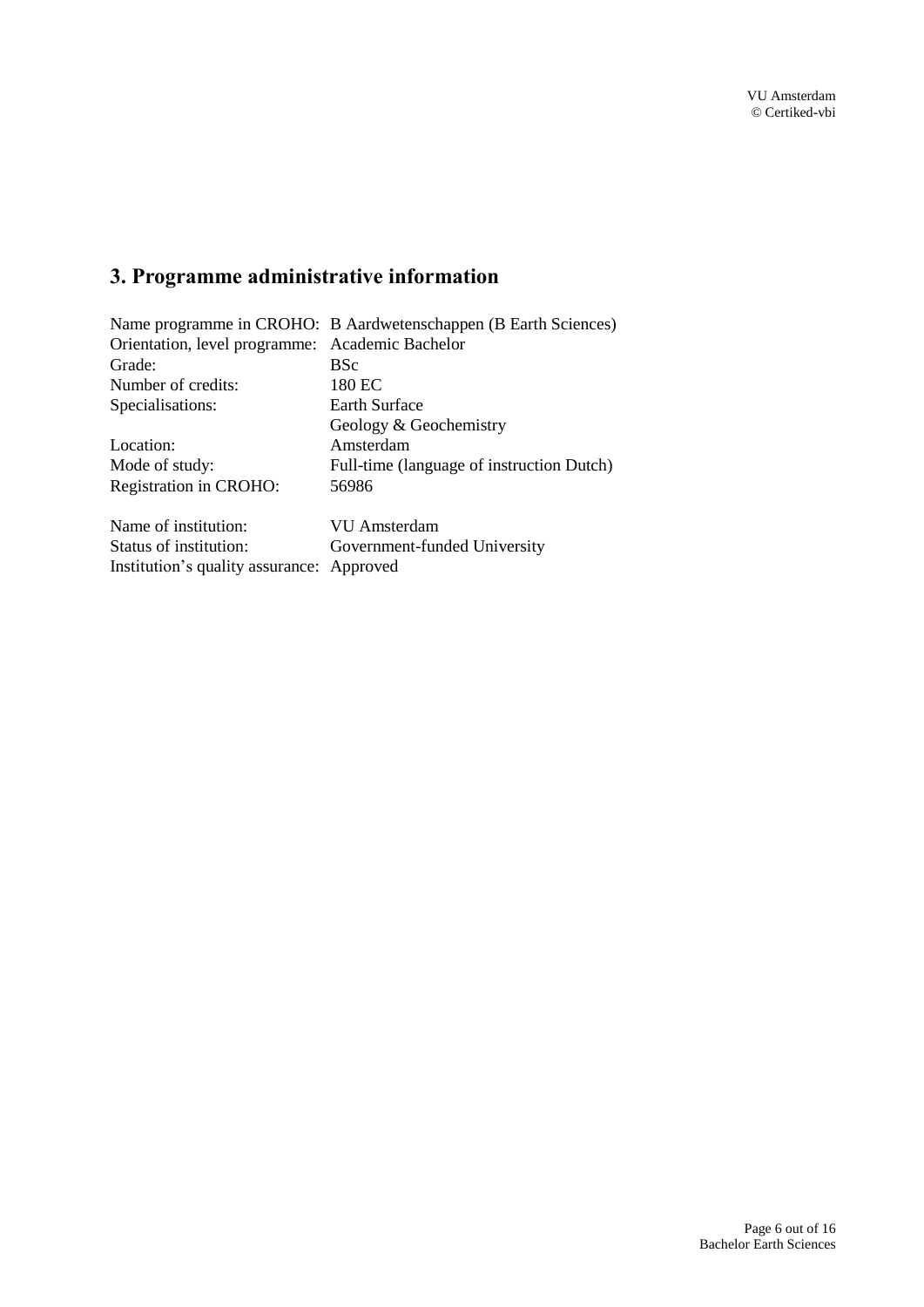# <span id="page-5-0"></span>**3. Programme administrative information**

| Orientation, level programme: Academic Bachelor |  |
|-------------------------------------------------|--|
|                                                 |  |
| 180 EC                                          |  |
| <b>Earth Surface</b>                            |  |
|                                                 |  |
|                                                 |  |
| Full-time (language of instruction Dutch)       |  |
| 56986                                           |  |
|                                                 |  |
|                                                 |  |
|                                                 |  |
|                                                 |  |
|                                                 |  |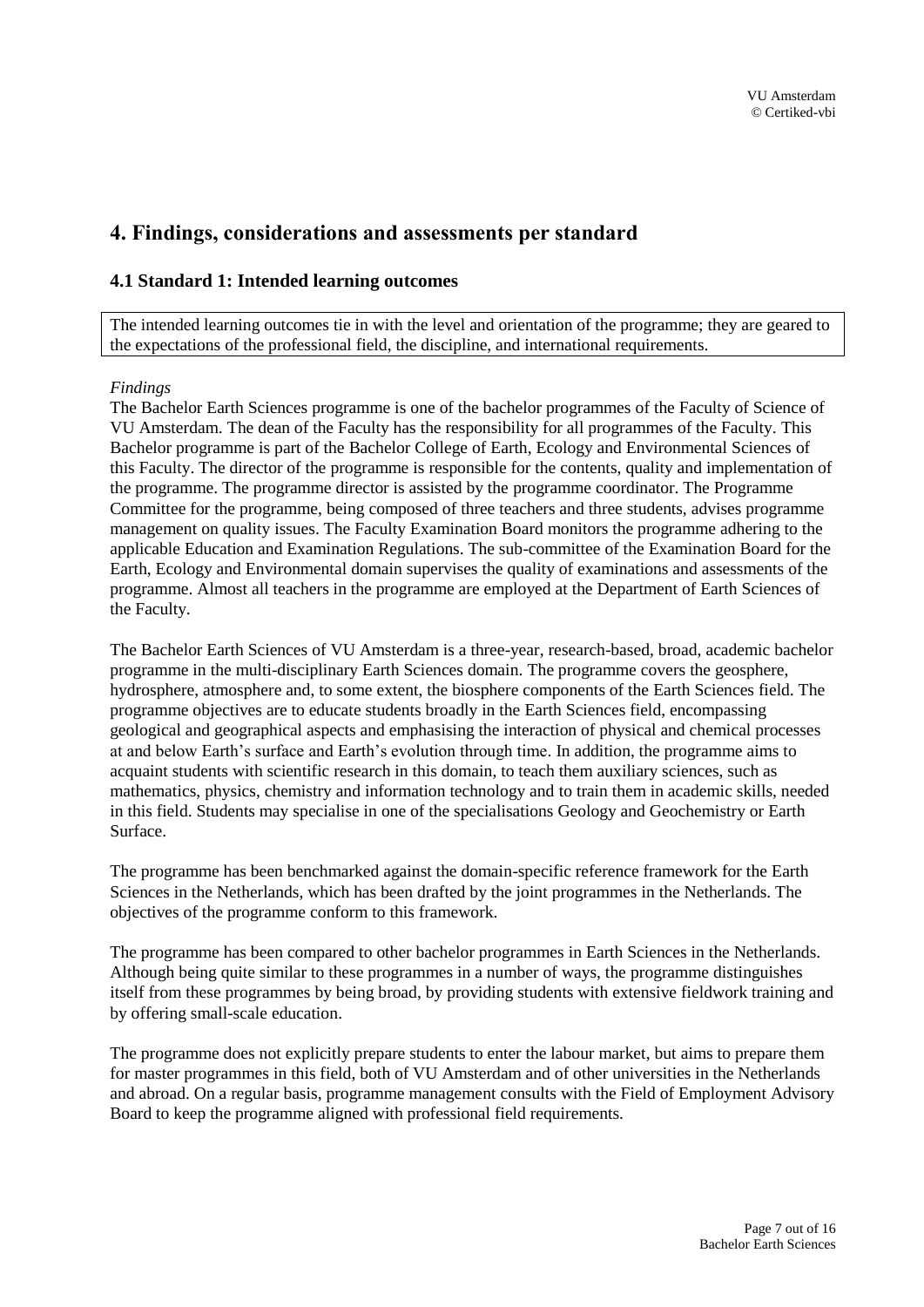# <span id="page-6-0"></span>**4. Findings, considerations and assessments per standard**

## <span id="page-6-1"></span>**4.1 Standard 1: Intended learning outcomes**

The intended learning outcomes tie in with the level and orientation of the programme; they are geared to the expectations of the professional field, the discipline, and international requirements.

#### *Findings*

The Bachelor Earth Sciences programme is one of the bachelor programmes of the Faculty of Science of VU Amsterdam. The dean of the Faculty has the responsibility for all programmes of the Faculty. This Bachelor programme is part of the Bachelor College of Earth, Ecology and Environmental Sciences of this Faculty. The director of the programme is responsible for the contents, quality and implementation of the programme. The programme director is assisted by the programme coordinator. The Programme Committee for the programme, being composed of three teachers and three students, advises programme management on quality issues. The Faculty Examination Board monitors the programme adhering to the applicable Education and Examination Regulations. The sub-committee of the Examination Board for the Earth, Ecology and Environmental domain supervises the quality of examinations and assessments of the programme. Almost all teachers in the programme are employed at the Department of Earth Sciences of the Faculty.

The Bachelor Earth Sciences of VU Amsterdam is a three-year, research-based, broad, academic bachelor programme in the multi-disciplinary Earth Sciences domain. The programme covers the geosphere, hydrosphere, atmosphere and, to some extent, the biosphere components of the Earth Sciences field. The programme objectives are to educate students broadly in the Earth Sciences field, encompassing geological and geographical aspects and emphasising the interaction of physical and chemical processes at and below Earth's surface and Earth's evolution through time. In addition, the programme aims to acquaint students with scientific research in this domain, to teach them auxiliary sciences, such as mathematics, physics, chemistry and information technology and to train them in academic skills, needed in this field. Students may specialise in one of the specialisations Geology and Geochemistry or Earth Surface.

The programme has been benchmarked against the domain-specific reference framework for the Earth Sciences in the Netherlands, which has been drafted by the joint programmes in the Netherlands. The objectives of the programme conform to this framework.

The programme has been compared to other bachelor programmes in Earth Sciences in the Netherlands. Although being quite similar to these programmes in a number of ways, the programme distinguishes itself from these programmes by being broad, by providing students with extensive fieldwork training and by offering small-scale education.

The programme does not explicitly prepare students to enter the labour market, but aims to prepare them for master programmes in this field, both of VU Amsterdam and of other universities in the Netherlands and abroad. On a regular basis, programme management consults with the Field of Employment Advisory Board to keep the programme aligned with professional field requirements.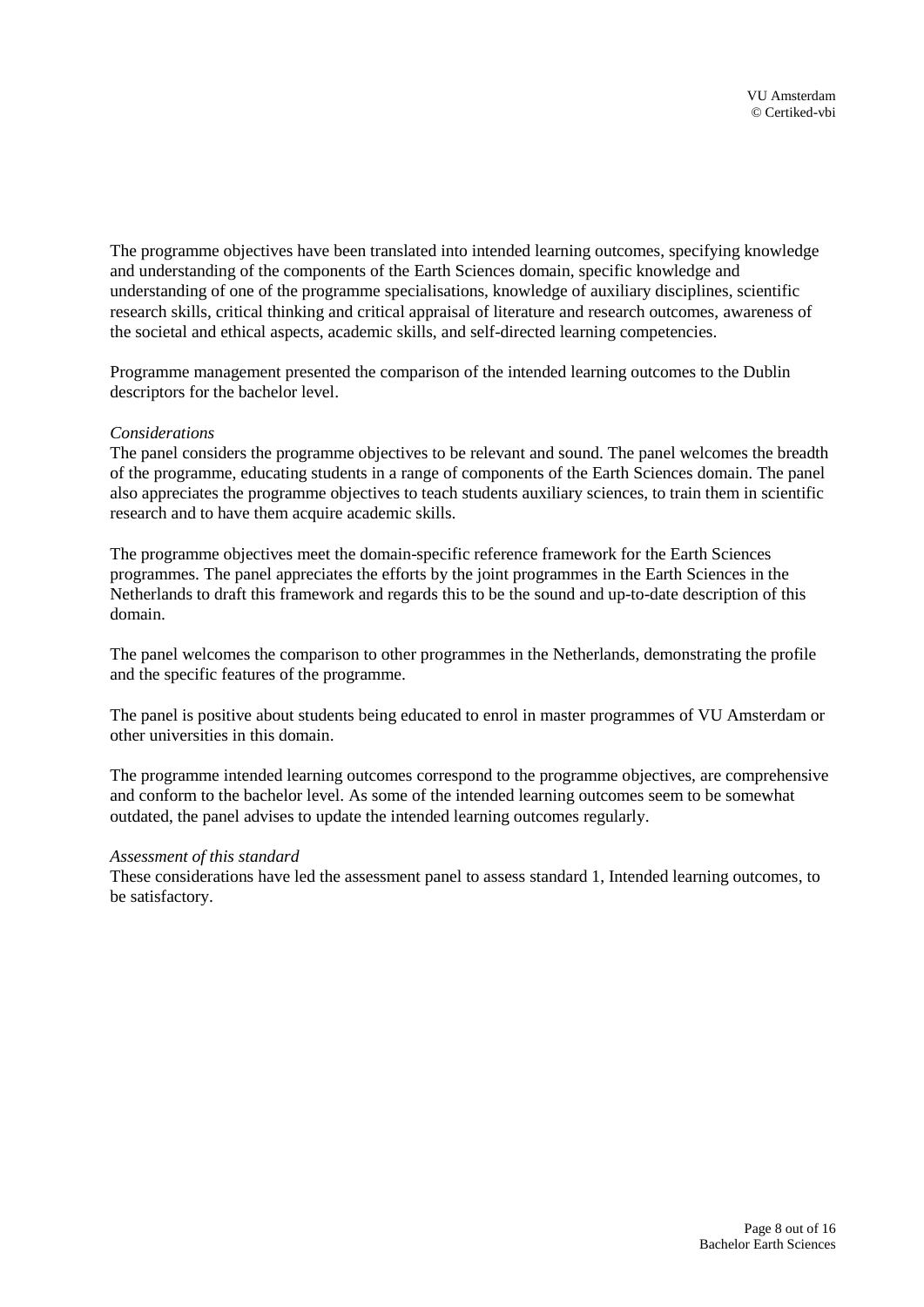The programme objectives have been translated into intended learning outcomes, specifying knowledge and understanding of the components of the Earth Sciences domain, specific knowledge and understanding of one of the programme specialisations, knowledge of auxiliary disciplines, scientific research skills, critical thinking and critical appraisal of literature and research outcomes, awareness of the societal and ethical aspects, academic skills, and self-directed learning competencies.

Programme management presented the comparison of the intended learning outcomes to the Dublin descriptors for the bachelor level.

#### *Considerations*

The panel considers the programme objectives to be relevant and sound. The panel welcomes the breadth of the programme, educating students in a range of components of the Earth Sciences domain. The panel also appreciates the programme objectives to teach students auxiliary sciences, to train them in scientific research and to have them acquire academic skills.

The programme objectives meet the domain-specific reference framework for the Earth Sciences programmes. The panel appreciates the efforts by the joint programmes in the Earth Sciences in the Netherlands to draft this framework and regards this to be the sound and up-to-date description of this domain.

The panel welcomes the comparison to other programmes in the Netherlands, demonstrating the profile and the specific features of the programme.

The panel is positive about students being educated to enrol in master programmes of VU Amsterdam or other universities in this domain.

The programme intended learning outcomes correspond to the programme objectives, are comprehensive and conform to the bachelor level. As some of the intended learning outcomes seem to be somewhat outdated, the panel advises to update the intended learning outcomes regularly.

#### *Assessment of this standard*

These considerations have led the assessment panel to assess standard 1, Intended learning outcomes, to be satisfactory.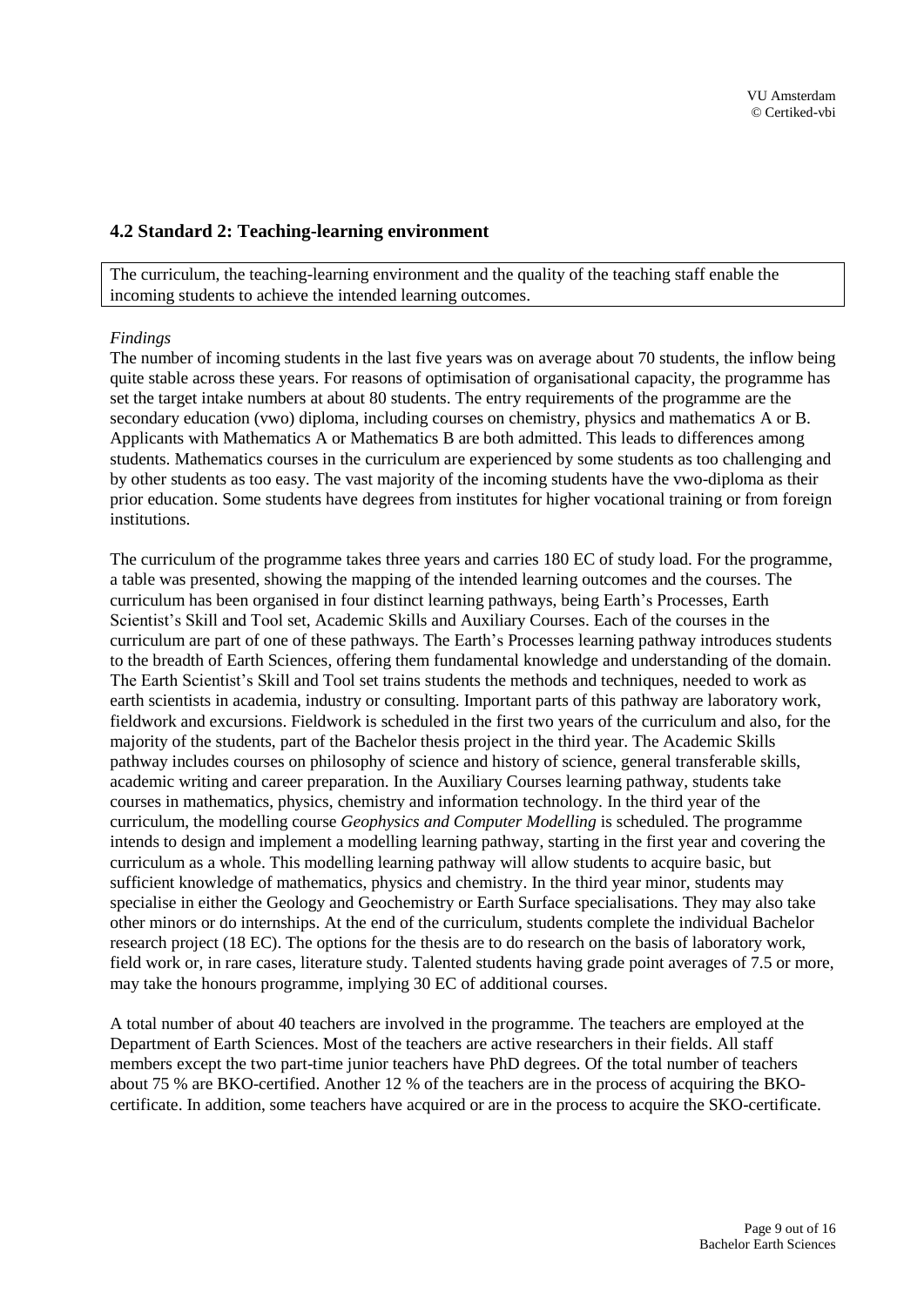## <span id="page-8-0"></span>**4.2 Standard 2: Teaching-learning environment**

The curriculum, the teaching-learning environment and the quality of the teaching staff enable the incoming students to achieve the intended learning outcomes.

#### *Findings*

The number of incoming students in the last five years was on average about 70 students, the inflow being quite stable across these years. For reasons of optimisation of organisational capacity, the programme has set the target intake numbers at about 80 students. The entry requirements of the programme are the secondary education (vwo) diploma, including courses on chemistry, physics and mathematics A or B. Applicants with Mathematics A or Mathematics B are both admitted. This leads to differences among students. Mathematics courses in the curriculum are experienced by some students as too challenging and by other students as too easy. The vast majority of the incoming students have the vwo-diploma as their prior education. Some students have degrees from institutes for higher vocational training or from foreign institutions.

The curriculum of the programme takes three years and carries 180 EC of study load. For the programme, a table was presented, showing the mapping of the intended learning outcomes and the courses. The curriculum has been organised in four distinct learning pathways, being Earth's Processes, Earth Scientist's Skill and Tool set, Academic Skills and Auxiliary Courses. Each of the courses in the curriculum are part of one of these pathways. The Earth's Processes learning pathway introduces students to the breadth of Earth Sciences, offering them fundamental knowledge and understanding of the domain. The Earth Scientist's Skill and Tool set trains students the methods and techniques, needed to work as earth scientists in academia, industry or consulting. Important parts of this pathway are laboratory work, fieldwork and excursions. Fieldwork is scheduled in the first two years of the curriculum and also, for the majority of the students, part of the Bachelor thesis project in the third year. The Academic Skills pathway includes courses on philosophy of science and history of science, general transferable skills, academic writing and career preparation. In the Auxiliary Courses learning pathway, students take courses in mathematics, physics, chemistry and information technology. In the third year of the curriculum, the modelling course *Geophysics and Computer Modelling* is scheduled. The programme intends to design and implement a modelling learning pathway, starting in the first year and covering the curriculum as a whole. This modelling learning pathway will allow students to acquire basic, but sufficient knowledge of mathematics, physics and chemistry. In the third year minor, students may specialise in either the Geology and Geochemistry or Earth Surface specialisations. They may also take other minors or do internships. At the end of the curriculum, students complete the individual Bachelor research project (18 EC). The options for the thesis are to do research on the basis of laboratory work, field work or, in rare cases, literature study. Talented students having grade point averages of 7.5 or more, may take the honours programme, implying 30 EC of additional courses.

A total number of about 40 teachers are involved in the programme. The teachers are employed at the Department of Earth Sciences. Most of the teachers are active researchers in their fields. All staff members except the two part-time junior teachers have PhD degrees. Of the total number of teachers about 75 % are BKO-certified. Another 12 % of the teachers are in the process of acquiring the BKOcertificate. In addition, some teachers have acquired or are in the process to acquire the SKO-certificate.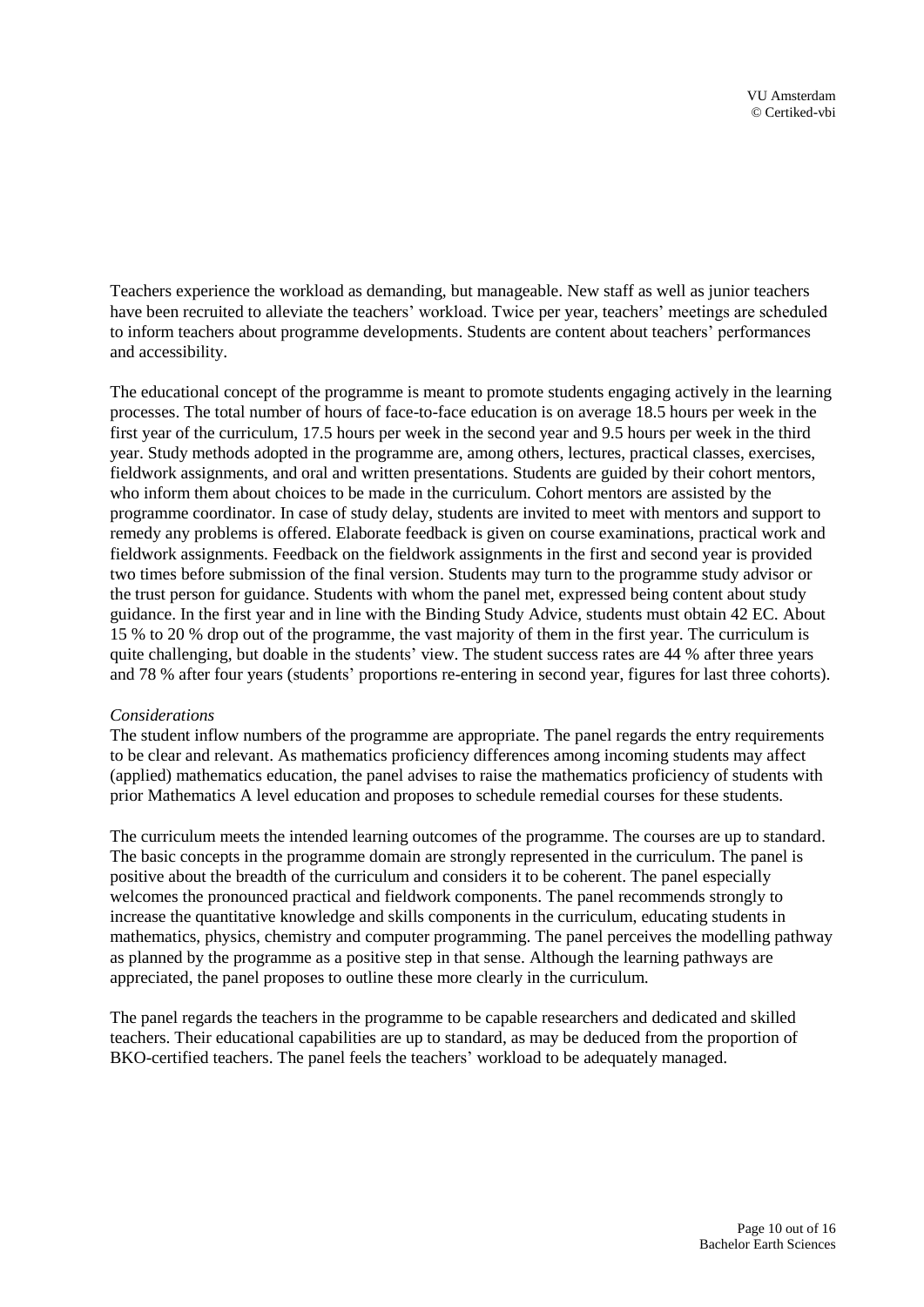Teachers experience the workload as demanding, but manageable. New staff as well as junior teachers have been recruited to alleviate the teachers' workload. Twice per year, teachers' meetings are scheduled to inform teachers about programme developments. Students are content about teachers' performances and accessibility.

The educational concept of the programme is meant to promote students engaging actively in the learning processes. The total number of hours of face-to-face education is on average 18.5 hours per week in the first year of the curriculum, 17.5 hours per week in the second year and 9.5 hours per week in the third year. Study methods adopted in the programme are, among others, lectures, practical classes, exercises, fieldwork assignments, and oral and written presentations. Students are guided by their cohort mentors, who inform them about choices to be made in the curriculum. Cohort mentors are assisted by the programme coordinator. In case of study delay, students are invited to meet with mentors and support to remedy any problems is offered. Elaborate feedback is given on course examinations, practical work and fieldwork assignments. Feedback on the fieldwork assignments in the first and second year is provided two times before submission of the final version. Students may turn to the programme study advisor or the trust person for guidance. Students with whom the panel met, expressed being content about study guidance. In the first year and in line with the Binding Study Advice, students must obtain 42 EC. About 15 % to 20 % drop out of the programme, the vast majority of them in the first year. The curriculum is quite challenging, but doable in the students' view. The student success rates are 44 % after three years and 78 % after four years (students' proportions re-entering in second year, figures for last three cohorts).

#### *Considerations*

The student inflow numbers of the programme are appropriate. The panel regards the entry requirements to be clear and relevant. As mathematics proficiency differences among incoming students may affect (applied) mathematics education, the panel advises to raise the mathematics proficiency of students with prior Mathematics A level education and proposes to schedule remedial courses for these students.

The curriculum meets the intended learning outcomes of the programme. The courses are up to standard. The basic concepts in the programme domain are strongly represented in the curriculum. The panel is positive about the breadth of the curriculum and considers it to be coherent. The panel especially welcomes the pronounced practical and fieldwork components. The panel recommends strongly to increase the quantitative knowledge and skills components in the curriculum, educating students in mathematics, physics, chemistry and computer programming. The panel perceives the modelling pathway as planned by the programme as a positive step in that sense. Although the learning pathways are appreciated, the panel proposes to outline these more clearly in the curriculum.

The panel regards the teachers in the programme to be capable researchers and dedicated and skilled teachers. Their educational capabilities are up to standard, as may be deduced from the proportion of BKO-certified teachers. The panel feels the teachers' workload to be adequately managed.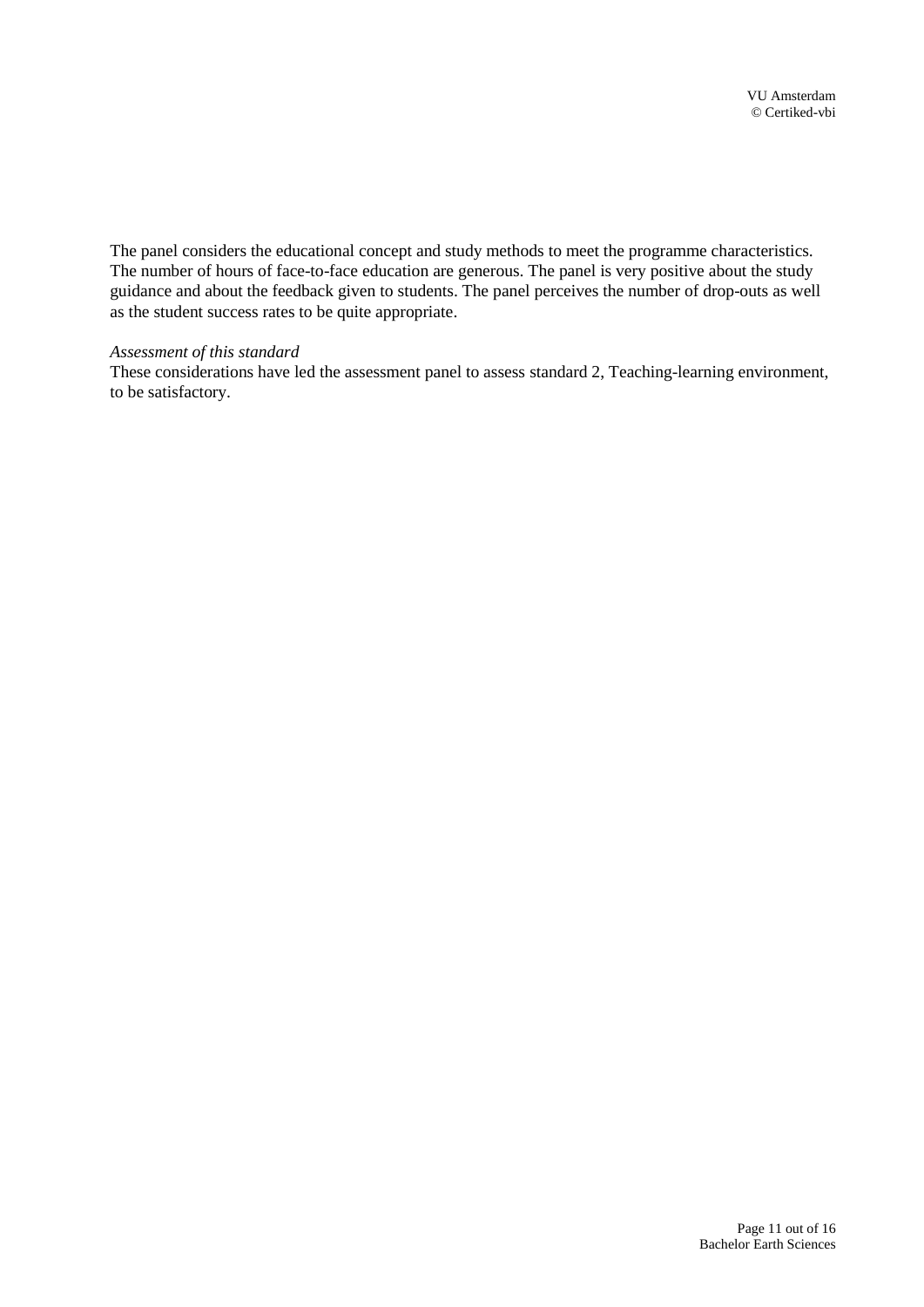The panel considers the educational concept and study methods to meet the programme characteristics. The number of hours of face-to-face education are generous. The panel is very positive about the study guidance and about the feedback given to students. The panel perceives the number of drop-outs as well as the student success rates to be quite appropriate.

#### *Assessment of this standard*

These considerations have led the assessment panel to assess standard 2, Teaching-learning environment, to be satisfactory.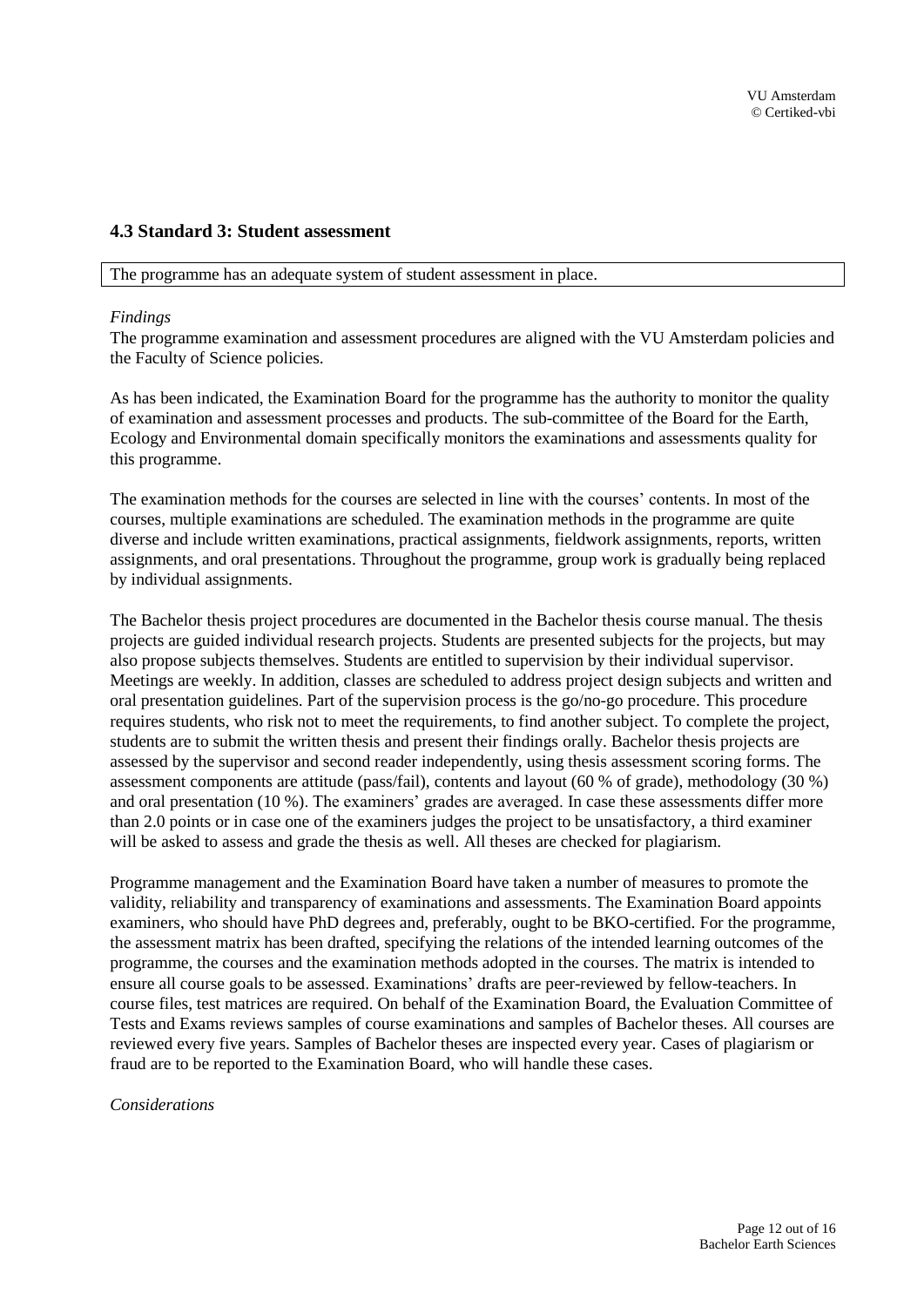#### <span id="page-11-0"></span>**4.3 Standard 3: Student assessment**

The programme has an adequate system of student assessment in place.

#### *Findings*

The programme examination and assessment procedures are aligned with the VU Amsterdam policies and the Faculty of Science policies.

As has been indicated, the Examination Board for the programme has the authority to monitor the quality of examination and assessment processes and products. The sub-committee of the Board for the Earth, Ecology and Environmental domain specifically monitors the examinations and assessments quality for this programme.

The examination methods for the courses are selected in line with the courses' contents. In most of the courses, multiple examinations are scheduled. The examination methods in the programme are quite diverse and include written examinations, practical assignments, fieldwork assignments, reports, written assignments, and oral presentations. Throughout the programme, group work is gradually being replaced by individual assignments.

The Bachelor thesis project procedures are documented in the Bachelor thesis course manual. The thesis projects are guided individual research projects. Students are presented subjects for the projects, but may also propose subjects themselves. Students are entitled to supervision by their individual supervisor. Meetings are weekly. In addition, classes are scheduled to address project design subjects and written and oral presentation guidelines. Part of the supervision process is the go/no-go procedure. This procedure requires students, who risk not to meet the requirements, to find another subject. To complete the project, students are to submit the written thesis and present their findings orally. Bachelor thesis projects are assessed by the supervisor and second reader independently, using thesis assessment scoring forms. The assessment components are attitude (pass/fail), contents and layout (60 % of grade), methodology (30 %) and oral presentation (10 %). The examiners' grades are averaged. In case these assessments differ more than 2.0 points or in case one of the examiners judges the project to be unsatisfactory, a third examiner will be asked to assess and grade the thesis as well. All theses are checked for plagiarism.

Programme management and the Examination Board have taken a number of measures to promote the validity, reliability and transparency of examinations and assessments. The Examination Board appoints examiners, who should have PhD degrees and, preferably, ought to be BKO-certified. For the programme, the assessment matrix has been drafted, specifying the relations of the intended learning outcomes of the programme, the courses and the examination methods adopted in the courses. The matrix is intended to ensure all course goals to be assessed. Examinations' drafts are peer-reviewed by fellow-teachers. In course files, test matrices are required. On behalf of the Examination Board, the Evaluation Committee of Tests and Exams reviews samples of course examinations and samples of Bachelor theses. All courses are reviewed every five years. Samples of Bachelor theses are inspected every year. Cases of plagiarism or fraud are to be reported to the Examination Board, who will handle these cases.

#### *Considerations*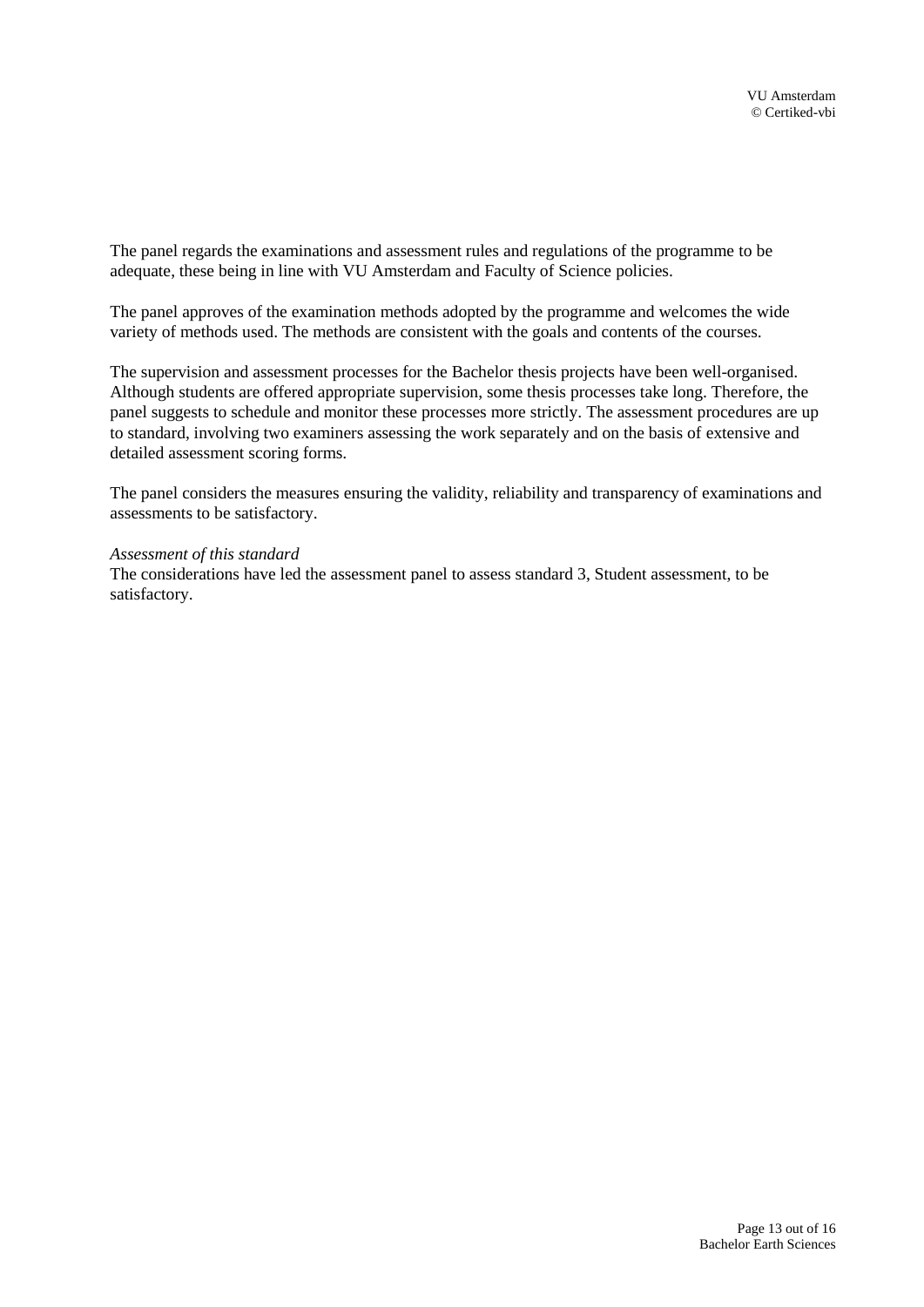The panel regards the examinations and assessment rules and regulations of the programme to be adequate, these being in line with VU Amsterdam and Faculty of Science policies.

The panel approves of the examination methods adopted by the programme and welcomes the wide variety of methods used. The methods are consistent with the goals and contents of the courses.

The supervision and assessment processes for the Bachelor thesis projects have been well-organised. Although students are offered appropriate supervision, some thesis processes take long. Therefore, the panel suggests to schedule and monitor these processes more strictly. The assessment procedures are up to standard, involving two examiners assessing the work separately and on the basis of extensive and detailed assessment scoring forms.

The panel considers the measures ensuring the validity, reliability and transparency of examinations and assessments to be satisfactory.

#### *Assessment of this standard*

The considerations have led the assessment panel to assess standard 3, Student assessment, to be satisfactory.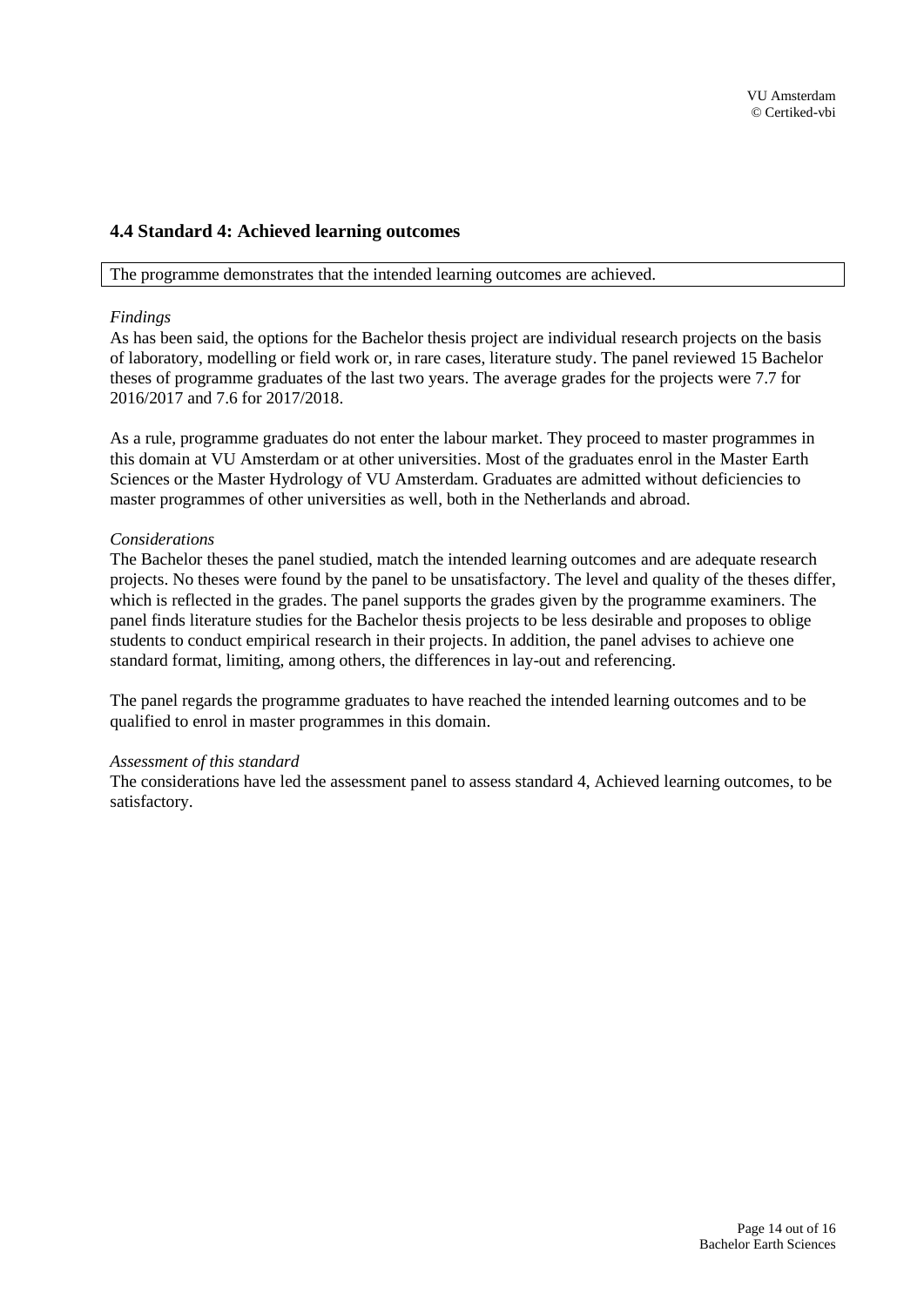## <span id="page-13-0"></span>**4.4 Standard 4: Achieved learning outcomes**

The programme demonstrates that the intended learning outcomes are achieved.

#### *Findings*

As has been said, the options for the Bachelor thesis project are individual research projects on the basis of laboratory, modelling or field work or, in rare cases, literature study. The panel reviewed 15 Bachelor theses of programme graduates of the last two years. The average grades for the projects were 7.7 for 2016/2017 and 7.6 for 2017/2018.

As a rule, programme graduates do not enter the labour market. They proceed to master programmes in this domain at VU Amsterdam or at other universities. Most of the graduates enrol in the Master Earth Sciences or the Master Hydrology of VU Amsterdam. Graduates are admitted without deficiencies to master programmes of other universities as well, both in the Netherlands and abroad.

#### *Considerations*

The Bachelor theses the panel studied, match the intended learning outcomes and are adequate research projects. No theses were found by the panel to be unsatisfactory. The level and quality of the theses differ, which is reflected in the grades. The panel supports the grades given by the programme examiners. The panel finds literature studies for the Bachelor thesis projects to be less desirable and proposes to oblige students to conduct empirical research in their projects. In addition, the panel advises to achieve one standard format, limiting, among others, the differences in lay-out and referencing.

The panel regards the programme graduates to have reached the intended learning outcomes and to be qualified to enrol in master programmes in this domain.

#### *Assessment of this standard*

The considerations have led the assessment panel to assess standard 4, Achieved learning outcomes, to be satisfactory.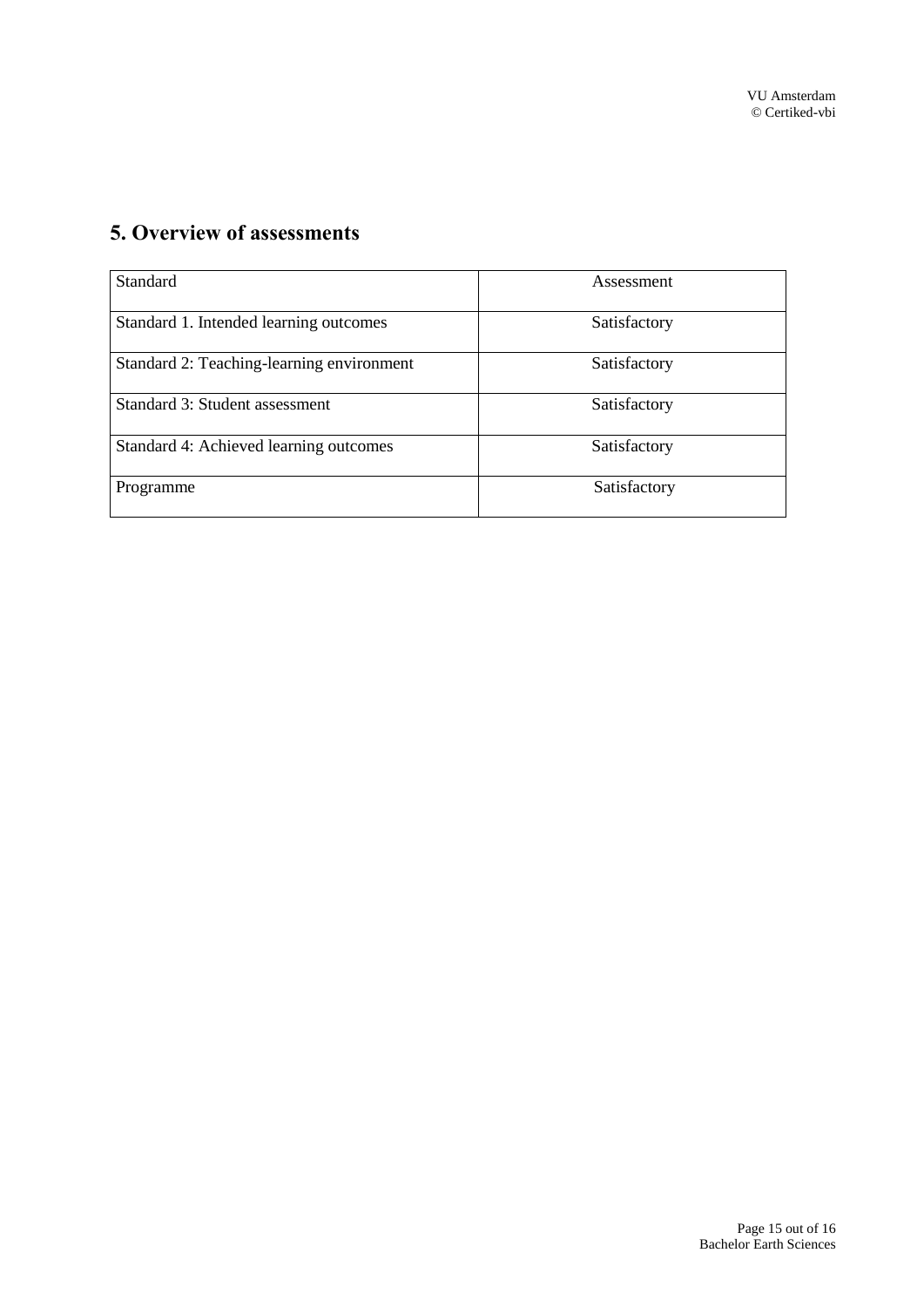# <span id="page-14-0"></span>**5. Overview of assessments**

| <b>Standard</b>                           | Assessment   |
|-------------------------------------------|--------------|
| Standard 1. Intended learning outcomes    | Satisfactory |
| Standard 2: Teaching-learning environment | Satisfactory |
| Standard 3: Student assessment            | Satisfactory |
| Standard 4: Achieved learning outcomes    | Satisfactory |
| Programme                                 | Satisfactory |